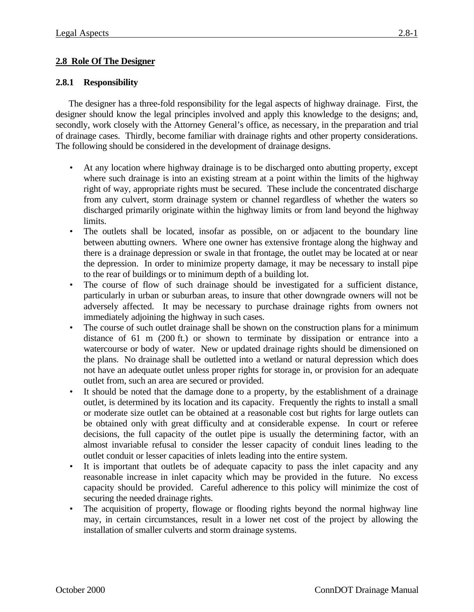## **2.8 Role Of The Designer**

#### **2.8.1 Responsibility**

The designer has a three-fold responsibility for the legal aspects of highway drainage. First, the designer should know the legal principles involved and apply this knowledge to the designs; and, secondly, work closely with the Attorney General's office, as necessary, in the preparation and trial of drainage cases. Thirdly, become familiar with drainage rights and other property considerations. The following should be considered in the development of drainage designs.

- At any location where highway drainage is to be discharged onto abutting property, except where such drainage is into an existing stream at a point within the limits of the highway right of way, appropriate rights must be secured. These include the concentrated discharge from any culvert, storm drainage system or channel regardless of whether the waters so discharged primarily originate within the highway limits or from land beyond the highway limits.
- The outlets shall be located, insofar as possible, on or adjacent to the boundary line between abutting owners. Where one owner has extensive frontage along the highway and there is a drainage depression or swale in that frontage, the outlet may be located at or near the depression. In order to minimize property damage, it may be necessary to install pipe to the rear of buildings or to minimum depth of a building lot.
- The course of flow of such drainage should be investigated for a sufficient distance, particularly in urban or suburban areas, to insure that other downgrade owners will not be adversely affected. It may be necessary to purchase drainage rights from owners not immediately adjoining the highway in such cases.
- The course of such outlet drainage shall be shown on the construction plans for a minimum distance of 61 m (200 ft.) or shown to terminate by dissipation or entrance into a watercourse or body of water. New or updated drainage rights should be dimensioned on the plans. No drainage shall be outletted into a wetland or natural depression which does not have an adequate outlet unless proper rights for storage in, or provision for an adequate outlet from, such an area are secured or provided.
- It should be noted that the damage done to a property, by the establishment of a drainage outlet, is determined by its location and its capacity. Frequently the rights to install a small or moderate size outlet can be obtained at a reasonable cost but rights for large outlets can be obtained only with great difficulty and at considerable expense. In court or referee decisions, the full capacity of the outlet pipe is usually the determining factor, with an almost invariable refusal to consider the lesser capacity of conduit lines leading to the outlet conduit or lesser capacities of inlets leading into the entire system.
- It is important that outlets be of adequate capacity to pass the inlet capacity and any reasonable increase in inlet capacity which may be provided in the future. No excess capacity should be provided. Careful adherence to this policy will minimize the cost of securing the needed drainage rights.
- The acquisition of property, flowage or flooding rights beyond the normal highway line may, in certain circumstances, result in a lower net cost of the project by allowing the installation of smaller culverts and storm drainage systems.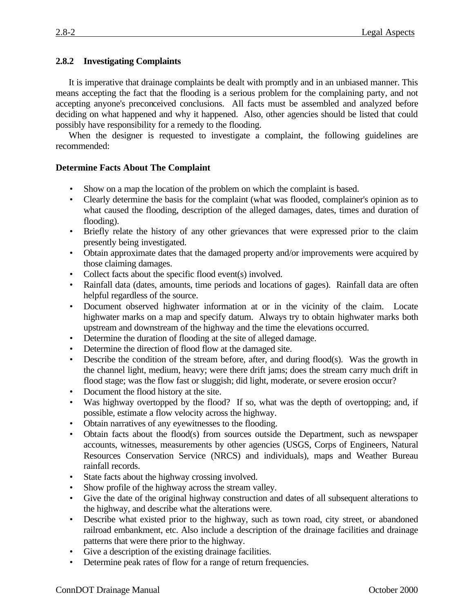## **2.8.2 Investigating Complaints**

It is imperative that drainage complaints be dealt with promptly and in an unbiased manner. This means accepting the fact that the flooding is a serious problem for the complaining party, and not accepting anyone's preconceived conclusions. All facts must be assembled and analyzed before deciding on what happened and why it happened. Also, other agencies should be listed that could possibly have responsibility for a remedy to the flooding.

When the designer is requested to investigate a complaint, the following guidelines are recommended:

## **Determine Facts About The Complaint**

- Show on a map the location of the problem on which the complaint is based.
- Clearly determine the basis for the complaint (what was flooded, complainer's opinion as to what caused the flooding, description of the alleged damages, dates, times and duration of flooding).
- Briefly relate the history of any other grievances that were expressed prior to the claim presently being investigated.
- Obtain approximate dates that the damaged property and/or improvements were acquired by those claiming damages.
- Collect facts about the specific flood event(s) involved.
- Rainfall data (dates, amounts, time periods and locations of gages). Rainfall data are often helpful regardless of the source.
- Document observed highwater information at or in the vicinity of the claim. Locate highwater marks on a map and specify datum. Always try to obtain highwater marks both upstream and downstream of the highway and the time the elevations occurred.
- Determine the duration of flooding at the site of alleged damage.
- Determine the direction of flood flow at the damaged site.
- Describe the condition of the stream before, after, and during flood(s). Was the growth in the channel light, medium, heavy; were there drift jams; does the stream carry much drift in flood stage; was the flow fast or sluggish; did light, moderate, or severe erosion occur?
- Document the flood history at the site.
- Was highway overtopped by the flood? If so, what was the depth of overtopping; and, if possible, estimate a flow velocity across the highway.
- Obtain narratives of any eyewitnesses to the flooding.
- Obtain facts about the flood(s) from sources outside the Department, such as newspaper accounts, witnesses, measurements by other agencies (USGS, Corps of Engineers, Natural Resources Conservation Service (NRCS) and individuals), maps and Weather Bureau rainfall records.
- State facts about the highway crossing involved.
- Show profile of the highway across the stream valley.
- Give the date of the original highway construction and dates of all subsequent alterations to the highway, and describe what the alterations were.
- Describe what existed prior to the highway, such as town road, city street, or abandoned railroad embankment, etc. Also include a description of the drainage facilities and drainage patterns that were there prior to the highway.
- Give a description of the existing drainage facilities.
- Determine peak rates of flow for a range of return frequencies.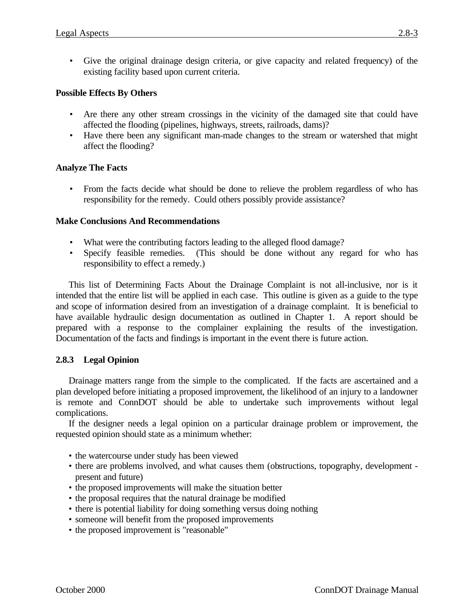• Give the original drainage design criteria, or give capacity and related frequency) of the existing facility based upon current criteria.

## **Possible Effects By Others**

- Are there any other stream crossings in the vicinity of the damaged site that could have affected the flooding (pipelines, highways, streets, railroads, dams)?
- Have there been any significant man-made changes to the stream or watershed that might affect the flooding?

# **Analyze The Facts**

• From the facts decide what should be done to relieve the problem regardless of who has responsibility for the remedy. Could others possibly provide assistance?

## **Make Conclusions And Recommendations**

- What were the contributing factors leading to the alleged flood damage?
- Specify feasible remedies. (This should be done without any regard for who has responsibility to effect a remedy.)

This list of Determining Facts About the Drainage Complaint is not all-inclusive, nor is it intended that the entire list will be applied in each case. This outline is given as a guide to the type and scope of information desired from an investigation of a drainage complaint. It is beneficial to have available hydraulic design documentation as outlined in Chapter 1. A report should be prepared with a response to the complainer explaining the results of the investigation. Documentation of the facts and findings is important in the event there is future action.

## **2.8.3 Legal Opinion**

Drainage matters range from the simple to the complicated. If the facts are ascertained and a plan developed before initiating a proposed improvement, the likelihood of an injury to a landowner is remote and ConnDOT should be able to undertake such improvements without legal complications.

If the designer needs a legal opinion on a particular drainage problem or improvement, the requested opinion should state as a minimum whether:

- the watercourse under study has been viewed
- there are problems involved, and what causes them (obstructions, topography, development present and future)
- the proposed improvements will make the situation better
- the proposal requires that the natural drainage be modified
- there is potential liability for doing something versus doing nothing
- someone will benefit from the proposed improvements
- the proposed improvement is "reasonable"